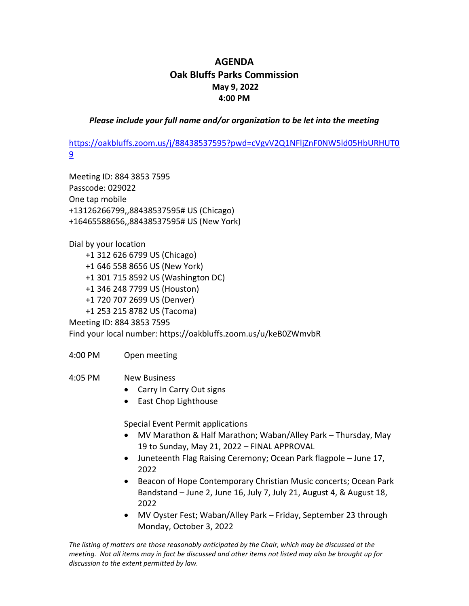## **AGENDA Oak Bluffs Parks Commission May 9, 2022 4:00 PM**

*Please include your full name and/or organization to be let into the meeting*

[https://oakbluffs.zoom.us/j/88438537595?pwd=cVgvV2Q1NFljZnF0NW5ld05HbURHUT0](https://oakbluffs.zoom.us/j/88438537595?pwd=cVgvV2Q1NFljZnF0NW5ld05HbURHUT09) [9](https://oakbluffs.zoom.us/j/88438537595?pwd=cVgvV2Q1NFljZnF0NW5ld05HbURHUT09)

Meeting ID: 884 3853 7595 Passcode: 029022 One tap mobile +13126266799,,88438537595# US (Chicago) +16465588656,,88438537595# US (New York)

Dial by your location

 +1 312 626 6799 US (Chicago) +1 646 558 8656 US (New York) +1 301 715 8592 US (Washington DC) +1 346 248 7799 US (Houston) +1 720 707 2699 US (Denver) +1 253 215 8782 US (Tacoma)

Meeting ID: 884 3853 7595 Find your local number: https://oakbluffs.zoom.us/u/keB0ZWmvbR

4:00 PM Open meeting

4:05 PM New Business

- Carry In Carry Out signs
- East Chop Lighthouse

Special Event Permit applications

- MV Marathon & Half Marathon; Waban/Alley Park Thursday, May 19 to Sunday, May 21, 2022 – FINAL APPROVAL
- Juneteenth Flag Raising Ceremony; Ocean Park flagpole June 17, 2022
- Beacon of Hope Contemporary Christian Music concerts; Ocean Park Bandstand – June 2, June 16, July 7, July 21, August 4, & August 18, 2022
- MV Oyster Fest; Waban/Alley Park Friday, September 23 through Monday, October 3, 2022

*The listing of matters are those reasonably anticipated by the Chair, which may be discussed at the meeting. Not all items may in fact be discussed and other items not listed may also be brought up for discussion to the extent permitted by law.*